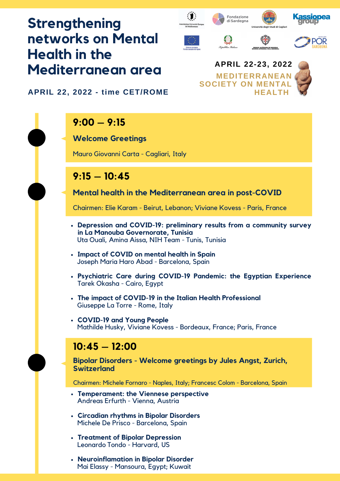# **Strengthening networks on Mental Health in the Mediterranean area**







**APRIL 22, 2022 - time CET/ROME**

## **9:00 – 9:15**

#### **Welcome Greetings**

Mauro Giovanni Carta - Cagliari, Italy

### **9:15 – 10:45**

**Mental health in the Mediterranean area in post-COVID**

Chairmen: Elie Karam - Beirut, Lebanon; Viviane Kovess - Paris, France

- **Depression and COVID-19: preliminary results from a community survey in La Manouba Governorate, Tunisia** Uta Ouali, Amina Aissa, NIH Team - Tunis, Tunisia
- **Impact of COVID on mental health in Spain** Joseph Maria Haro Abad - Barcelona, Spain
- **Psychiatric Care during COVID-19 Pandemic: the Egyptian Experience** Tarek Okasha - Cairo, Egypt
- **The impact of COVID-19 in the Italian Health Professional** Giuseppe La Torre - Rome, Italy
- **COVID-19 and Young People** Mathilde Husky, Viviane Kovess - Bordeaux, France; Paris, France

### **10:45 – 12:00**

**Bipolar Disorders - Welcome greetings by Jules Angst, Zurich, Switzerland**

Chairmen: Michele Fornaro - Naples, Italy; Francesc Colom - Barcelona, Spain

- **Temperament: the Viennese perspective** Andreas Erfurth - Vienna, Austria
- **Circadian rhythms in Bipolar Disorders** Michele De Prisco - Barcelona, Spain
- **Treatment of Bipolar Depression** Leonardo Tondo - Harvard, US
- **Neuroinflamation in Bipolar Disorder** Mai Elassy - Mansoura, Egypt; Kuwait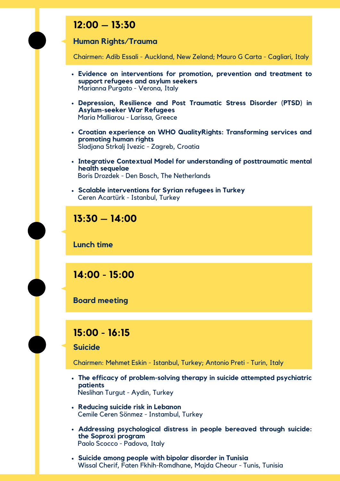### **12:00 – 13:30**

#### **Human Rights/Trauma**

Chairmen: Adib Essali - Auckland, New Zeland; Mauro G Carta - Cagliari, Italy

- **Evidence on interventions for promotion, prevention and treatment to support refugees and asylum seekers** Marianna Purgato - Verona, Italy
- **Depression, Resilience and Post Traumatic Stress Disorder (PTSD) in Asylum-seeker War Refugees** Maria Malliarou - Larissa, Greece
- **Croatian experience on WHO QualityRights: Transforming services and promoting human rights** Sladjana Strkalj Ivezic - Zagreb, Croatia
- **Integrative Contextual Model for understanding of posttraumatic mental health sequelae** Boris Drozdek - Den Bosch, The Netherlands
- **Scalable interventions for Syrian refugees in Turkey** Ceren Acartürk - Istanbul, Turkey



**Lunch time**

**14:00 - 15:00**

**Board meeting**

#### **15:00 - 16:15**

**Suicide**

Chairmen: Mehmet Eskin - Istanbul, Turkey; Antonio Preti - Turin, Italy

- **The efficacy of problem-solving therapy in suicide attempted psychiatric patients** Neslihan Turgut - Aydin, Turkey
- **Reducing suicide risk in Lebanon** Cemile Ceren Sönmez - Instambul, Turkey
- **Addressing psychological distress in people bereaved through suicide: the Soproxi program** Paolo Scocco - Padova, Italy
- **Suicide among people with bipolar disorder in Tunisia** Wissal Cherif, Faten Fkhih-Romdhane, Majda Cheour - Tunis, Tunisia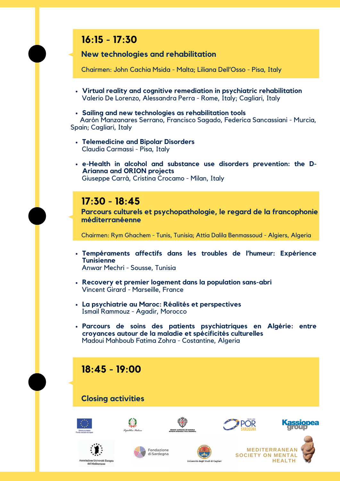

#### **Closing activities**













del Mediterrane







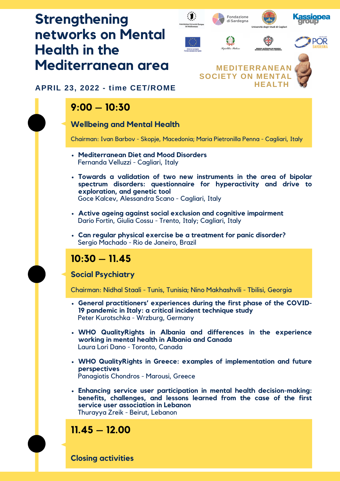### **Strengthening** Fondazione di Sardegna **networks on Mental Health in the Mediterranean area**



#### **APRIL 23, 2022 - time CET/ROME**

### **9:00 – 10:30**

#### **Wellbeing and Mental Health**

Chairman: Ivan Barbov - Skopje, Macedonia; Maria Pietronilla Penna - Cagliari, Italy

- **Mediterranean Diet and Mood Disorders** Fernanda Velluzzi - Cagliari, Italy
- **Towards a validation of two new instruments in the area of bipolar spectrum disorders: questionnaire for hyperactivity and drive to exploration, and genetic tool** Goce Kalcev, Alessandra Scano - Cagliari, Italy
- **Active ageing against social exclusion and cognitive impairment** Dario Fortin, Giulia Cossu - Trento, Italy; Cagliari, Italy
- **Can regular physical exercise be a treatment for panic disorder?** Sergio Machado - Rio de Janeiro, Brazil

### **10:30 – 11.45**

#### **Social Psychiatry**

Chairman: Nidhal Staali - Tunis, Tunisia; Nino Makhashvili - Tbilisi, Georgia

- **General practitioners' experiences during the first phase of the COVID-19 pandemic in Italy: a critical incident technique study** Peter Kurotschka - Wrzburg, Germany
- **WHO QualityRights in Albania and differences in the experience working in mental health in Albania and Canada** Laura Lori Dano - Toronto, Canada
- **WHO QualityRights in Greece: examples of implementation and future perspectives** Panagiotis Chondros - Marousi, Greece
- **Enhancing service user participation in mental health decision-making: benefits, challenges, and lessons learned from the case of the first service user association in Lebanon** Thurayya Zreik - Beirut, Lebanon

### **11.45 – 12.00**

**Closing activities**